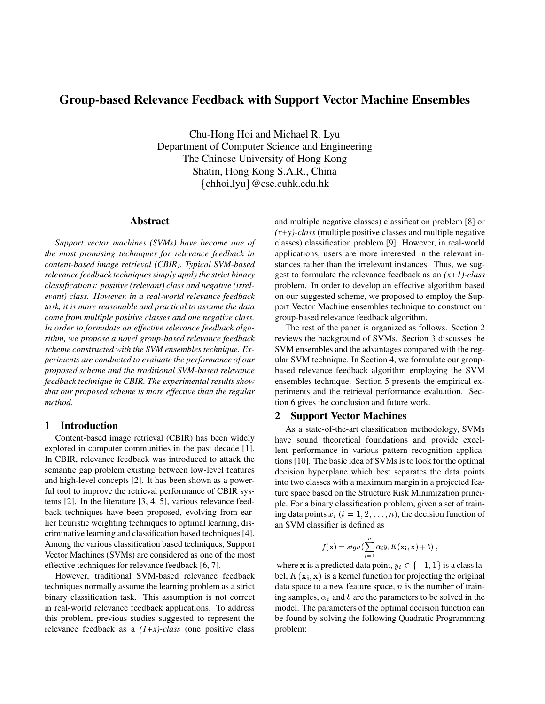# **Group-based Relevance Feedback with Support Vector Machine Ensembles**

Chu-Hong Hoi and Michael R. Lyu Department of Computer Science and Engineering The Chinese University of Hong Kong Shatin, Hong Kong S.A.R., China  $\{\text{chhoi,lyu}\}$  @cse.cuhk.edu.hk

# **Abstract**

*Support vector machines (SVMs) have become one of the most promising techniques for relevance feedback in content-based image retrieval (CBIR). Typical SVM-based relevance feedback techniquessimply apply the strict binary classifications: positive (relevant) class and negative (irrelevant) class. However, in a real-world relevance feedback task, it is more reasonable and practical to assume the data come from multiple positive classes and one negative class. In order to formulate an effective relevance feedback algorithm, we propose a novel group-based relevance feedback scheme constructed with the SVM ensembles technique. Experiments are conducted to evaluate the performance of our proposed scheme and the traditional SVM-based relevance feedback technique in CBIR. The experimental results show that our proposed scheme is more effective than the regular method.*

### **1 Introduction**

Content-based image retrieval (CBIR) has been widely explored in computer communities in the past decade [1]. In CBIR, relevance feedback was introduced to attack the semantic gap problem existing between low-level features and high-level concepts [2]. It has been shown as a powerful tool to improve the retrieval performance of CBIR systems [2]. In the literature [3, 4, 5], various relevance feedback techniques have been proposed, evolving from earlier heuristic weighting techniques to optimal learning, discriminative learning and classification based techniques [4]. Among the various classification based techniques, Support Vector Machines (SVMs) are considered as one of the most effective techniques for relevance feedback [6, 7].

However, traditional SVM-based relevance feedback techniques normally assume the learning problem as a strict binary classification task. This assumption is not correct in real-world relevance feedback applications. To address this problem, previous studies suggested to represent the relevance feedback as a *(1+x)-class* (one positive class

and multiple negative classes) classification problem [8] or  $(x+y)$ -class (multiple positive classes and multiple negative classes) classification problem [9]. However, in real-world applications, users are more interested in the relevant instances rather than the irrelevant instances. Thus, we suggest to formulate the relevance feedback as an *(x+1)-class* problem. In order to develop an effective algorithm based on our suggested scheme, we proposed to employ the Support Vector Machine ensembles technique to construct our group-based relevance feedback algorithm.

The rest of the paper is organized as follows. Section 2 reviews the background of SVMs. Section 3 discusses the SVM ensembles and the advantages compared with the regular SVM technique. In Section 4, we formulate our groupbased relevance feedback algorithm employing the SVM ensembles technique. Section 5 presents the empirical experiments and the retrieval performance evaluation. Section 6 gives the conclusion and future work.

### **2 Support Vector Machines**

As a state-of-the-art classification methodology, SVMs have sound theoretical foundations and provide excellent performance in various pattern recognition applications [10]. The basic idea of SVMs is to look for the optimal decision hyperplane which best separates the data points into two classes with a maximum margin in a projected feature space based on the Structure Risk Minimization principle. For a binary classification problem, given a set of training data points  $x_i$  ( $i = 1, 2, \ldots, n$ ), the decision function of an SVM classifier is defined as

$$
f(\mathbf{x}) = sign(\sum_{i=1}^{n} \alpha_i y_i K(\mathbf{x_i}, \mathbf{x}) + b),
$$

where **x** is a predicted data point,  $y_i \in \{-1, 1\}$  is a class label,  $K(\mathbf{x_i}, \mathbf{x})$  is a kernel function for projecting the original data space to a new feature space,  $n$  is the number of training samples,  $\alpha_i$  and b are the parameters to be solved in the model. The parameters of the optimal decision function can be found by solving the following Quadratic Programming problem: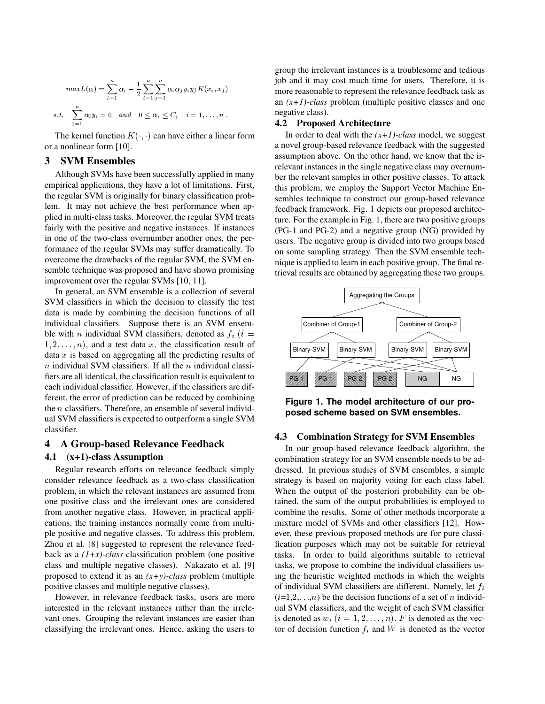$$
max L(\alpha) = \sum_{i=1}^{n} \alpha_i - \frac{1}{2} \sum_{i=1}^{n} \sum_{j=1}^{n} \alpha_i \alpha_j y_i y_j K(x_i, x_j)
$$
  
s.t. 
$$
\sum_{i=1}^{n} \alpha_i y_i = 0 \quad and \quad 0 \le \alpha_i \le C, \quad i = 1, ..., n.
$$

The kernel function  $K( , )$  can have either a linear form or a nonlinear form [10].

### **3 SVM Ensembles**

Although SVMs have been successfully applied in many empirical applications, they have a lot of limitations. First, the regular SVM is originally for binary classification problem. It may not achieve the best performance when applied in multi-class tasks. Moreover, the regular SVM treats fairly with the positive and negative instances. If instances in one of the two-class overnumber another ones, the performance of the regular SVMs may suffer dramatically. To overcome the drawbacks of the regular SVM, the SVM ensemble technique was proposed and have shown promising improvement over the regular SVMs [10, 11].

In general, an SVM ensemble is a collection of several SVM classifiers in which the decision to classify the test data is made by combining the decision functions of all individual classifiers. Suppose there is an SVM ensemble with *n* individual SVM classifiers, denoted as  $f_i$  (*i* =  $(1, 2, \ldots, n)$ , and a test data x, the classification result of data  $x$  is based on aggregating all the predicting results of  $n$  individual SVM classifiers. If all the  $n$  individual classifiers are all identical, the classification result is equivalent to each individual classifier. However, if the classifiers are different, the error of prediction can be reduced by combining the  $n$  classifiers. Therefore, an ensemble of several individual SVM classifiers is expected to outperform a single SVM classifier.

### **4 A Group-based Relevance Feedback**

#### **4.1 (x+1)-class Assumption**

Regular research efforts on relevance feedback simply consider relevance feedback as a two-class classification problem, in which the relevant instances are assumed from one positive class and the irrelevant ones are considered from another negative class. However, in practical applications, the training instances normally come from multiple positive and negative classes. To address this problem, Zhou et al. [8] suggested to represent the relevance feedback as a *(1+x)-class* classification problem (one positive class and multiple negative classes). Nakazato et al. [9] proposed to extend it as an *(x+y)-class* problem (multiple positive classes and multiple negative classes).

However, in relevance feedback tasks, users are more interested in the relevant instances rather than the irrelevant ones. Grouping the relevant instances are easier than classifying the irrelevant ones. Hence, asking the users to group the irrelevant instances is a troublesome and tedious job and it may cost much time for users. Therefore, it is more reasonable to represent the relevance feedback task as an *(x+1)-class* problem (multiple positive classes and one negative class).

#### **4.2 Proposed Architecture**

In order to deal with the *(x+1)-class* model, we suggest a novel group-based relevance feedback with the suggested assumption above. On the other hand, we know that the irrelevant instances in the single negative class may overnumber the relevant samples in other positive classes. To attack this problem, we employ the Support Vector Machine Ensembles technique to construct our group-based relevance feedback framework. Fig. 1 depicts our proposed architecture. For the example in Fig. 1, there are two positive groups (PG-1 and PG-2) and a negative group (NG) provided by users. The negative group is divided into two groups based on some sampling strategy. Then the SVM ensemble technique is applied to learn in each positive group. The final retrieval results are obtained by aggregating these two groups.



**Figure 1. The model architecture of our proposed scheme based on SVM ensembles.**

#### **4.3 Combination Strategy for SVM Ensembles**

In our group-based relevance feedback algorithm, the combination strategy for an SVM ensemble needs to be addressed. In previous studies of SVM ensembles, a simple strategy is based on majority voting for each class label. When the output of the posteriori probability can be obtained, the sum of the output probabilities is employed to combine the results. Some of other methods incorporate a mixture model of SVMs and other classifiers [12]. However, these previous proposed methods are for pure classification purposes which may not be suitable for retrieval tasks. In order to build algorithms suitable to retrieval tasks, we propose to combine the individual classifiers using the heuristic weighted methods in which the weights of individual SVM classifiers are different. Namely, let  $f_i$  $(i=1,2,\dots,n)$  be the decision functions of a set of *n* individual SVM classifiers, and the weight of each SVM classifier is denoted as  $w_i$   $(i = 1, 2, \ldots, n)$ . F is denoted as the vector of decision function  $f_i$  and W is denoted as the vector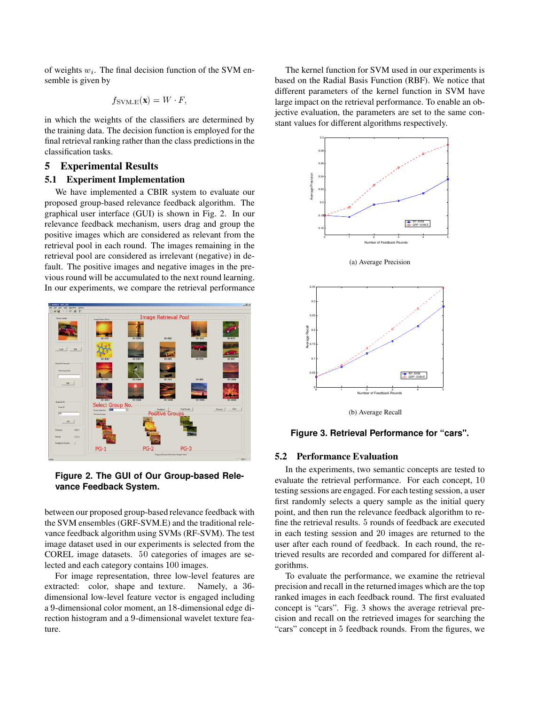of weights  $w_i$ . The final decision function of the SVM ensemble is given by

$$
f_{\text{SVM.E}}(\mathbf{x}) = W \cdot F,
$$

in which the weights of the classifiers are determined by the training data. The decision function is employed for the final retrieval ranking rather than the class predictionsin the classification tasks.

# **5 Experimental Results**

#### **5.1 Experiment Implementation**

We have implemented a CBIR system to evaluate our proposed group-based relevance feedback algorithm. The graphical user interface (GUI) is shown in Fig. 2. In our relevance feedback mechanism, users drag and group the positive images which are considered as relevant from the retrieval pool in each round. The images remaining in the retrieval pool are considered as irrelevant (negative) in default. The positive images and negative images in the previous round will be accumulated to the next round learning. In our experiments, we compare the retrieval performance



**Figure 2. The GUI of Our Group-based Relevance Feedback System.**

between our proposed group-based relevance feedback with the SVM ensembles (GRF-SVM.E) and the traditional relevance feedback algorithm using SVMs (RF-SVM). The test image dataset used in our experiments is selected from the COREL image datasets.  $50$  categories of images are selected and each category contains 100 images.

For image representation, three low-level features are extracted: color, shape and texture. Namely, a  $36$ dimensional low-level feature vector is engaged including a 9-dimensional color moment, an 18-dimensional edge direction histogram and a 9-dimensional wavelet texture feature.

The kernel function for SVM used in our experiments is based on the Radial Basis Function (RBF). We notice that different parameters of the kernel function in SVM have large impact on the retrieval performance. To enable an objective evaluation, the parameters are set to the same constant values for different algorithms respectively.







(b) Average Recall

#### **Figure 3. Retrieval Performance for "cars".**

#### **5.2 Performance Evaluation**

In the experiments, two semantic concepts are tested to evaluate the retrieval performance. For each concept, 10 testing sessions are engaged. For each testing session, a user first randomly selects a query sample as the initial query point, and then run the relevance feedback algorithm to refine the retrieval results. 5 rounds of feedback are executed in each testing session and 20 images are returned to the user after each round of feedback. In each round, the retrieved results are recorded and compared for different algorithms.

To evaluate the performance, we examine the retrieval precision and recall in the returned images which are the top ranked images in each feedback round. The first evaluated concept is "cars". Fig. 3 shows the average retrieval precision and recall on the retrieved images for searching the "cars" concept in 5 feedback rounds. From the figures, we